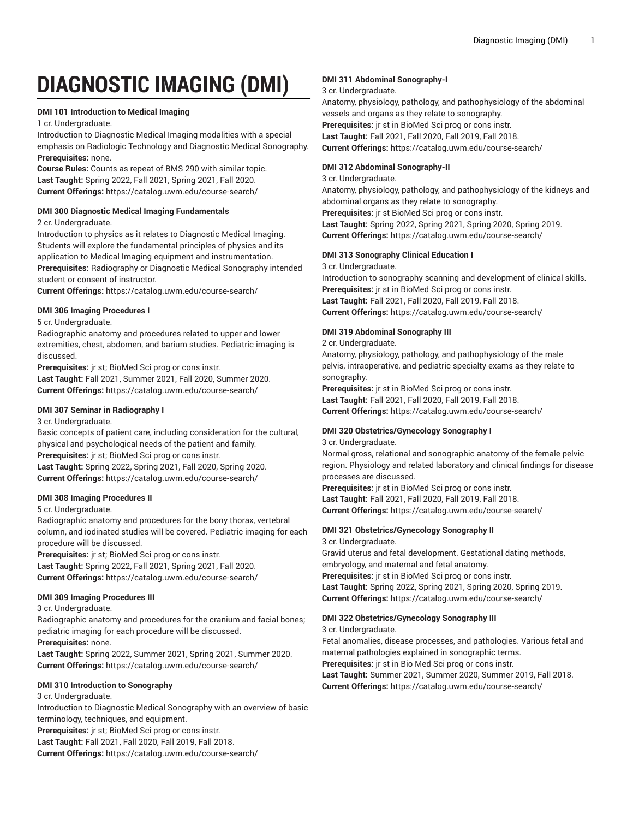# **DIAGNOSTIC IMAGING (DMI)**

# **DMI 101 Introduction to Medical Imaging**

1 cr. Undergraduate.

Introduction to Diagnostic Medical Imaging modalities with a special emphasis on Radiologic Technology and Diagnostic Medical Sonography. **Prerequisites:** none.

**Course Rules:** Counts as repeat of BMS 290 with similar topic. **Last Taught:** Spring 2022, Fall 2021, Spring 2021, Fall 2020. **Current Offerings:** <https://catalog.uwm.edu/course-search/>

# **DMI 300 Diagnostic Medical Imaging Fundamentals**

2 cr. Undergraduate.

Introduction to physics as it relates to Diagnostic Medical Imaging. Students will explore the fundamental principles of physics and its application to Medical Imaging equipment and instrumentation. **Prerequisites:** Radiography or Diagnostic Medical Sonography intended

student or consent of instructor.

**Current Offerings:** <https://catalog.uwm.edu/course-search/>

# **DMI 306 Imaging Procedures I**

5 cr. Undergraduate.

Radiographic anatomy and procedures related to upper and lower extremities, chest, abdomen, and barium studies. Pediatric imaging is discussed.

**Prerequisites:** jr st; BioMed Sci prog or cons instr.

**Last Taught:** Fall 2021, Summer 2021, Fall 2020, Summer 2020. **Current Offerings:** <https://catalog.uwm.edu/course-search/>

# **DMI 307 Seminar in Radiography I**

3 cr. Undergraduate.

Basic concepts of patient care, including consideration for the cultural, physical and psychological needs of the patient and family. **Prerequisites:** jr st; BioMed Sci prog or cons instr. **Last Taught:** Spring 2022, Spring 2021, Fall 2020, Spring 2020. **Current Offerings:** <https://catalog.uwm.edu/course-search/>

# **DMI 308 Imaging Procedures II**

# 5 cr. Undergraduate.

Radiographic anatomy and procedures for the bony thorax, vertebral column, and iodinated studies will be covered. Pediatric imaging for each procedure will be discussed.

**Prerequisites:** jr st; BioMed Sci prog or cons instr.

**Last Taught:** Spring 2022, Fall 2021, Spring 2021, Fall 2020. **Current Offerings:** <https://catalog.uwm.edu/course-search/>

# **DMI 309 Imaging Procedures III**

3 cr. Undergraduate.

Radiographic anatomy and procedures for the cranium and facial bones; pediatric imaging for each procedure will be discussed. **Prerequisites:** none.

**Last Taught:** Spring 2022, Summer 2021, Spring 2021, Summer 2020. **Current Offerings:** <https://catalog.uwm.edu/course-search/>

# **DMI 310 Introduction to Sonography**

#### 3 cr. Undergraduate.

Introduction to Diagnostic Medical Sonography with an overview of basic terminology, techniques, and equipment.

**Prerequisites:** jr st; BioMed Sci prog or cons instr.

**Last Taught:** Fall 2021, Fall 2020, Fall 2019, Fall 2018.

**Current Offerings:** <https://catalog.uwm.edu/course-search/>

# **DMI 311 Abdominal Sonography-I**

3 cr. Undergraduate.

Anatomy, physiology, pathology, and pathophysiology of the abdominal vessels and organs as they relate to sonography. **Prerequisites:** jr st in BioMed Sci prog or cons instr.

**Last Taught:** Fall 2021, Fall 2020, Fall 2019, Fall 2018. **Current Offerings:** <https://catalog.uwm.edu/course-search/>

# **DMI 312 Abdominal Sonography-II**

3 cr. Undergraduate.

Anatomy, physiology, pathology, and pathophysiology of the kidneys and abdominal organs as they relate to sonography. **Prerequisites:** jr st BioMed Sci prog or cons instr. **Last Taught:** Spring 2022, Spring 2021, Spring 2020, Spring 2019. **Current Offerings:** <https://catalog.uwm.edu/course-search/>

# **DMI 313 Sonography Clinical Education I**

3 cr. Undergraduate.

Introduction to sonography scanning and development of clinical skills. **Prerequisites:** jr st in BioMed Sci prog or cons instr. **Last Taught:** Fall 2021, Fall 2020, Fall 2019, Fall 2018. **Current Offerings:** <https://catalog.uwm.edu/course-search/>

# **DMI 319 Abdominal Sonography III**

2 cr. Undergraduate.

Anatomy, physiology, pathology, and pathophysiology of the male pelvis, intraoperative, and pediatric specialty exams as they relate to sonography.

**Prerequisites:** jr st in BioMed Sci prog or cons instr. **Last Taught:** Fall 2021, Fall 2020, Fall 2019, Fall 2018. **Current Offerings:** <https://catalog.uwm.edu/course-search/>

# **DMI 320 Obstetrics/Gynecology Sonography I**

3 cr. Undergraduate.

Normal gross, relational and sonographic anatomy of the female pelvic region. Physiology and related laboratory and clinical findings for disease processes are discussed.

**Prerequisites:** jr st in BioMed Sci prog or cons instr. **Last Taught:** Fall 2021, Fall 2020, Fall 2019, Fall 2018. **Current Offerings:** <https://catalog.uwm.edu/course-search/>

#### **DMI 321 Obstetrics/Gynecology Sonography II** 3 cr. Undergraduate.

Gravid uterus and fetal development. Gestational dating methods, embryology, and maternal and fetal anatomy. **Prerequisites:** jr st in BioMed Sci prog or cons instr. **Last Taught:** Spring 2022, Spring 2021, Spring 2020, Spring 2019. **Current Offerings:** <https://catalog.uwm.edu/course-search/>

# **DMI 322 Obstetrics/Gynecology Sonography III**

3 cr. Undergraduate.

Fetal anomalies, disease processes, and pathologies. Various fetal and maternal pathologies explained in sonographic terms. **Prerequisites:** jr st in Bio Med Sci prog or cons instr. **Last Taught:** Summer 2021, Summer 2020, Summer 2019, Fall 2018. **Current Offerings:** <https://catalog.uwm.edu/course-search/>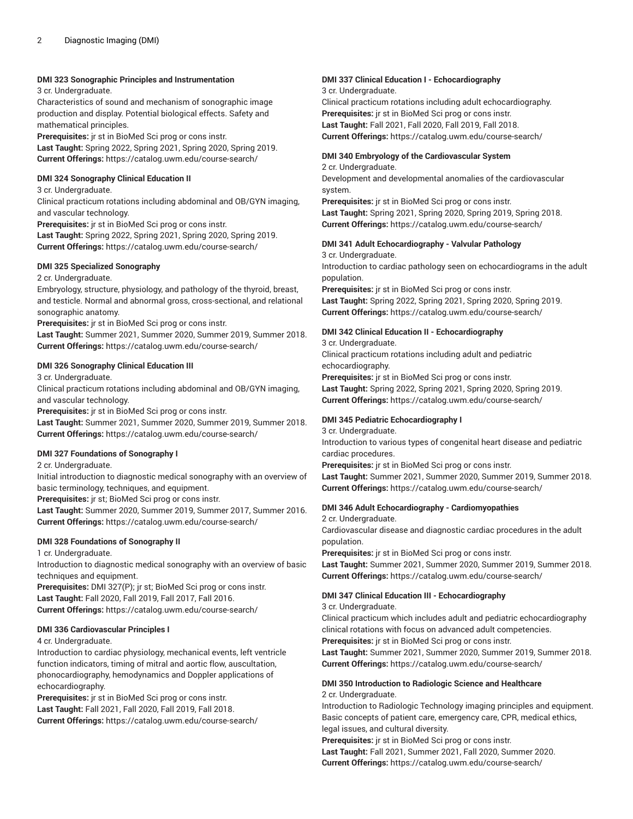# **DMI 323 Sonographic Principles and Instrumentation**

3 cr. Undergraduate.

Characteristics of sound and mechanism of sonographic image production and display. Potential biological effects. Safety and mathematical principles.

**Prerequisites:** jr st in BioMed Sci prog or cons instr. **Last Taught:** Spring 2022, Spring 2021, Spring 2020, Spring 2019. **Current Offerings:** <https://catalog.uwm.edu/course-search/>

#### **DMI 324 Sonography Clinical Education II**

3 cr. Undergraduate.

Clinical practicum rotations including abdominal and OB/GYN imaging, and vascular technology.

**Prerequisites:** jr st in BioMed Sci prog or cons instr.

**Last Taught:** Spring 2022, Spring 2021, Spring 2020, Spring 2019. **Current Offerings:** <https://catalog.uwm.edu/course-search/>

# **DMI 325 Specialized Sonography**

2 cr. Undergraduate.

Embryology, structure, physiology, and pathology of the thyroid, breast, and testicle. Normal and abnormal gross, cross-sectional, and relational sonographic anatomy.

**Prerequisites:** jr st in BioMed Sci prog or cons instr.

**Last Taught:** Summer 2021, Summer 2020, Summer 2019, Summer 2018. **Current Offerings:** <https://catalog.uwm.edu/course-search/>

# **DMI 326 Sonography Clinical Education III**

3 cr. Undergraduate.

Clinical practicum rotations including abdominal and OB/GYN imaging, and vascular technology.

**Prerequisites:** jr st in BioMed Sci prog or cons instr.

**Last Taught:** Summer 2021, Summer 2020, Summer 2019, Summer 2018. **Current Offerings:** <https://catalog.uwm.edu/course-search/>

# **DMI 327 Foundations of Sonography I**

2 cr. Undergraduate.

Initial introduction to diagnostic medical sonography with an overview of basic terminology, techniques, and equipment.

**Prerequisites:** jr st; BioMed Sci prog or cons instr.

**Last Taught:** Summer 2020, Summer 2019, Summer 2017, Summer 2016. **Current Offerings:** <https://catalog.uwm.edu/course-search/>

# **DMI 328 Foundations of Sonography II**

1 cr. Undergraduate.

Introduction to diagnostic medical sonography with an overview of basic techniques and equipment.

**Prerequisites:** DMI 327(P); jr st; BioMed Sci prog or cons instr. **Last Taught:** Fall 2020, Fall 2019, Fall 2017, Fall 2016. **Current Offerings:** <https://catalog.uwm.edu/course-search/>

# **DMI 336 Cardiovascular Principles I**

4 cr. Undergraduate.

Introduction to cardiac physiology, mechanical events, left ventricle function indicators, timing of mitral and aortic flow, auscultation, phonocardiography, hemodynamics and Doppler applications of echocardiography.

**Prerequisites:** jr st in BioMed Sci prog or cons instr. **Last Taught:** Fall 2021, Fall 2020, Fall 2019, Fall 2018. **Current Offerings:** <https://catalog.uwm.edu/course-search/>

# **DMI 337 Clinical Education I - Echocardiography**

3 cr. Undergraduate.

Clinical practicum rotations including adult echocardiography. **Prerequisites:** jr st in BioMed Sci prog or cons instr. **Last Taught:** Fall 2021, Fall 2020, Fall 2019, Fall 2018. **Current Offerings:** <https://catalog.uwm.edu/course-search/>

# **DMI 340 Embryology of the Cardiovascular System**

2 cr. Undergraduate.

Development and developmental anomalies of the cardiovascular system.

**Prerequisites:** jr st in BioMed Sci prog or cons instr. **Last Taught:** Spring 2021, Spring 2020, Spring 2019, Spring 2018. **Current Offerings:** <https://catalog.uwm.edu/course-search/>

# **DMI 341 Adult Echocardiography - Valvular Pathology**

3 cr. Undergraduate.

Introduction to cardiac pathology seen on echocardiograms in the adult population.

**Prerequisites:** jr st in BioMed Sci prog or cons instr. **Last Taught:** Spring 2022, Spring 2021, Spring 2020, Spring 2019. **Current Offerings:** <https://catalog.uwm.edu/course-search/>

# **DMI 342 Clinical Education II - Echocardiography**

3 cr. Undergraduate. Clinical practicum rotations including adult and pediatric echocardiography. **Prerequisites:** jr st in BioMed Sci prog or cons instr. **Last Taught:** Spring 2022, Spring 2021, Spring 2020, Spring 2019. **Current Offerings:** <https://catalog.uwm.edu/course-search/>

# **DMI 345 Pediatric Echocardiography I**

3 cr. Undergraduate. Introduction to various types of congenital heart disease and pediatric cardiac procedures.

**Prerequisites:** jr st in BioMed Sci prog or cons instr. **Last Taught:** Summer 2021, Summer 2020, Summer 2019, Summer 2018. **Current Offerings:** <https://catalog.uwm.edu/course-search/>

# **DMI 346 Adult Echocardiography - Cardiomyopathies**

2 cr. Undergraduate.

Cardiovascular disease and diagnostic cardiac procedures in the adult population.

**Prerequisites:** jr st in BioMed Sci prog or cons instr.

**Last Taught:** Summer 2021, Summer 2020, Summer 2019, Summer 2018. **Current Offerings:** <https://catalog.uwm.edu/course-search/>

# **DMI 347 Clinical Education III - Echocardiography**

3 cr. Undergraduate.

Clinical practicum which includes adult and pediatric echocardiography clinical rotations with focus on advanced adult competencies. **Prerequisites:** jr st in BioMed Sci prog or cons instr.

**Last Taught:** Summer 2021, Summer 2020, Summer 2019, Summer 2018. **Current Offerings:** <https://catalog.uwm.edu/course-search/>

# **DMI 350 Introduction to Radiologic Science and Healthcare** 2 cr. Undergraduate.

Introduction to Radiologic Technology imaging principles and equipment. Basic concepts of patient care, emergency care, CPR, medical ethics, legal issues, and cultural diversity.

**Prerequisites:** jr st in BioMed Sci prog or cons instr.

**Last Taught:** Fall 2021, Summer 2021, Fall 2020, Summer 2020. **Current Offerings:** <https://catalog.uwm.edu/course-search/>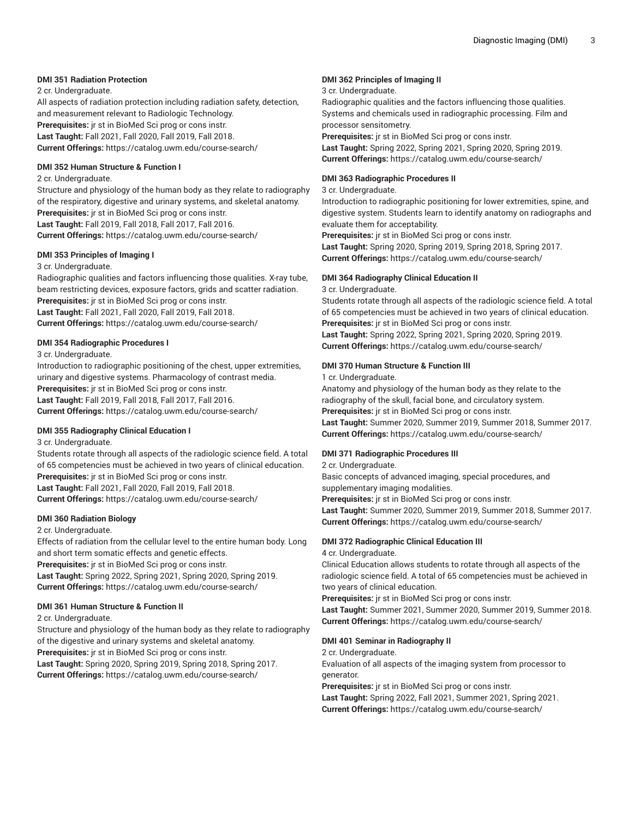# **DMI 351 Radiation Protection**

2 cr. Undergraduate.

All aspects of radiation protection including radiation safety, detection, and measurement relevant to Radiologic Technology. **Prerequisites:** jr st in BioMed Sci prog or cons instr. **Last Taught:** Fall 2021, Fall 2020, Fall 2019, Fall 2018. **Current Offerings:** <https://catalog.uwm.edu/course-search/>

#### **DMI 352 Human Structure & Function I**

2 cr. Undergraduate.

Structure and physiology of the human body as they relate to radiography of the respiratory, digestive and urinary systems, and skeletal anatomy. **Prerequisites:** jr st in BioMed Sci prog or cons instr. **Last Taught:** Fall 2019, Fall 2018, Fall 2017, Fall 2016. **Current Offerings:** <https://catalog.uwm.edu/course-search/>

#### **DMI 353 Principles of Imaging I**

#### 3 cr. Undergraduate.

Radiographic qualities and factors influencing those qualities. X-ray tube, beam restricting devices, exposure factors, grids and scatter radiation. **Prerequisites:** jr st in BioMed Sci prog or cons instr. **Last Taught:** Fall 2021, Fall 2020, Fall 2019, Fall 2018. **Current Offerings:** <https://catalog.uwm.edu/course-search/>

# **DMI 354 Radiographic Procedures I**

3 cr. Undergraduate.

Introduction to radiographic positioning of the chest, upper extremities, urinary and digestive systems. Pharmacology of contrast media. **Prerequisites:** jr st in BioMed Sci prog or cons instr. **Last Taught:** Fall 2019, Fall 2018, Fall 2017, Fall 2016. **Current Offerings:** <https://catalog.uwm.edu/course-search/>

#### **DMI 355 Radiography Clinical Education I**

3 cr. Undergraduate.

Students rotate through all aspects of the radiologic science field. A total of 65 competencies must be achieved in two years of clinical education. **Prerequisites:** jr st in BioMed Sci prog or cons instr. **Last Taught:** Fall 2021, Fall 2020, Fall 2019, Fall 2018. **Current Offerings:** <https://catalog.uwm.edu/course-search/>

# **DMI 360 Radiation Biology**

2 cr. Undergraduate.

Effects of radiation from the cellular level to the entire human body. Long and short term somatic effects and genetic effects.

**Prerequisites:** jr st in BioMed Sci prog or cons instr.

**Last Taught:** Spring 2022, Spring 2021, Spring 2020, Spring 2019. **Current Offerings:** <https://catalog.uwm.edu/course-search/>

#### **DMI 361 Human Structure & Function II**

2 cr. Undergraduate.

Structure and physiology of the human body as they relate to radiography of the digestive and urinary systems and skeletal anatomy.

**Prerequisites:** jr st in BioMed Sci prog or cons instr.

**Last Taught:** Spring 2020, Spring 2019, Spring 2018, Spring 2017. **Current Offerings:** <https://catalog.uwm.edu/course-search/>

# **DMI 362 Principles of Imaging II**

3 cr. Undergraduate.

Radiographic qualities and the factors influencing those qualities. Systems and chemicals used in radiographic processing. Film and processor sensitometry.

**Prerequisites:** jr st in BioMed Sci prog or cons instr. **Last Taught:** Spring 2022, Spring 2021, Spring 2020, Spring 2019. **Current Offerings:** <https://catalog.uwm.edu/course-search/>

#### **DMI 363 Radiographic Procedures II**

3 cr. Undergraduate.

Introduction to radiographic positioning for lower extremities, spine, and digestive system. Students learn to identify anatomy on radiographs and evaluate them for acceptability.

**Prerequisites:** jr st in BioMed Sci prog or cons instr. **Last Taught:** Spring 2020, Spring 2019, Spring 2018, Spring 2017. **Current Offerings:** <https://catalog.uwm.edu/course-search/>

# **DMI 364 Radiography Clinical Education II**

3 cr. Undergraduate.

Students rotate through all aspects of the radiologic science field. A total of 65 competencies must be achieved in two years of clinical education. **Prerequisites:** jr st in BioMed Sci prog or cons instr. **Last Taught:** Spring 2022, Spring 2021, Spring 2020, Spring 2019.

**Current Offerings:** <https://catalog.uwm.edu/course-search/>

# **DMI 370 Human Structure & Function III**

1 cr. Undergraduate.

Anatomy and physiology of the human body as they relate to the radiography of the skull, facial bone, and circulatory system. **Prerequisites:** jr st in BioMed Sci prog or cons instr. **Last Taught:** Summer 2020, Summer 2019, Summer 2018, Summer 2017. **Current Offerings:** <https://catalog.uwm.edu/course-search/>

# **DMI 371 Radiographic Procedures III**

2 cr. Undergraduate.

Basic concepts of advanced imaging, special procedures, and supplementary imaging modalities.

**Prerequisites:** jr st in BioMed Sci prog or cons instr. **Last Taught:** Summer 2020, Summer 2019, Summer 2018, Summer 2017. **Current Offerings:** <https://catalog.uwm.edu/course-search/>

# **DMI 372 Radiographic Clinical Education III**

4 cr. Undergraduate.

Clinical Education allows students to rotate through all aspects of the radiologic science field. A total of 65 competencies must be achieved in two years of clinical education.

**Prerequisites:** jr st in BioMed Sci prog or cons instr. **Last Taught:** Summer 2021, Summer 2020, Summer 2019, Summer 2018. **Current Offerings:** <https://catalog.uwm.edu/course-search/>

# **DMI 401 Seminar in Radiography II**

2 cr. Undergraduate.

Evaluation of all aspects of the imaging system from processor to generator.

**Prerequisites:** jr st in BioMed Sci prog or cons instr. **Last Taught:** Spring 2022, Fall 2021, Summer 2021, Spring 2021.

**Current Offerings:** <https://catalog.uwm.edu/course-search/>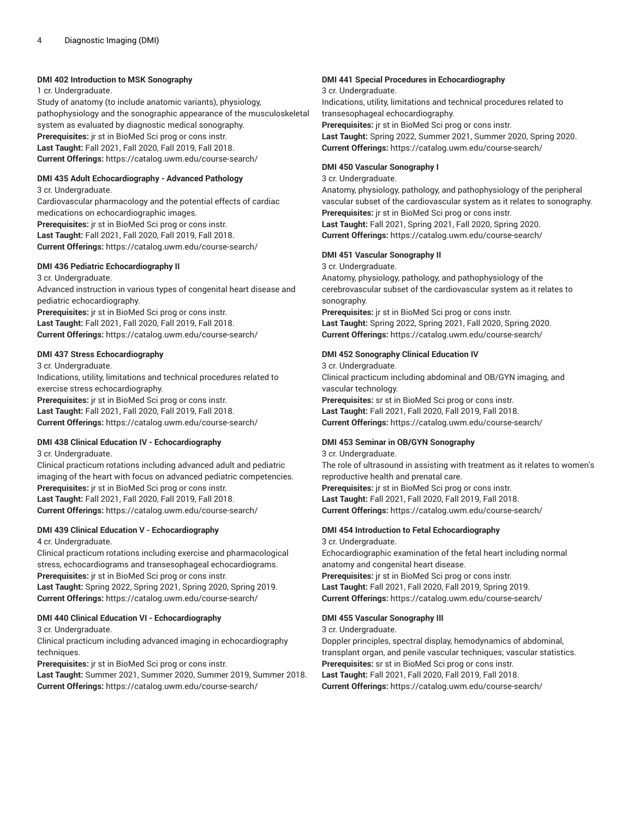# **DMI 402 Introduction to MSK Sonography**

1 cr. Undergraduate.

Study of anatomy (to include anatomic variants), physiology, pathophysiology and the sonographic appearance of the musculoskeletal system as evaluated by diagnostic medical sonography. **Prerequisites:** jr st in BioMed Sci prog or cons instr. **Last Taught:** Fall 2021, Fall 2020, Fall 2019, Fall 2018. **Current Offerings:** <https://catalog.uwm.edu/course-search/>

# **DMI 435 Adult Echocardiography - Advanced Pathology**

3 cr. Undergraduate.

Cardiovascular pharmacology and the potential effects of cardiac medications on echocardiographic images.

**Prerequisites:** jr st in BioMed Sci prog or cons instr. **Last Taught:** Fall 2021, Fall 2020, Fall 2019, Fall 2018. **Current Offerings:** <https://catalog.uwm.edu/course-search/>

#### **DMI 436 Pediatric Echocardiography II**

3 cr. Undergraduate.

Advanced instruction in various types of congenital heart disease and pediatric echocardiography.

**Prerequisites:** jr st in BioMed Sci prog or cons instr. **Last Taught:** Fall 2021, Fall 2020, Fall 2019, Fall 2018. **Current Offerings:** <https://catalog.uwm.edu/course-search/>

# **DMI 437 Stress Echocardiography**

3 cr. Undergraduate.

Indications, utility, limitations and technical procedures related to exercise stress echocardiography.

**Prerequisites:** jr st in BioMed Sci prog or cons instr. **Last Taught:** Fall 2021, Fall 2020, Fall 2019, Fall 2018. **Current Offerings:** <https://catalog.uwm.edu/course-search/>

# **DMI 438 Clinical Education IV - Echocardiography**

3 cr. Undergraduate.

Clinical practicum rotations including advanced adult and pediatric imaging of the heart with focus on advanced pediatric competencies. **Prerequisites:** jr st in BioMed Sci prog or cons instr. **Last Taught:** Fall 2021, Fall 2020, Fall 2019, Fall 2018. **Current Offerings:** <https://catalog.uwm.edu/course-search/>

### **DMI 439 Clinical Education V - Echocardiography** 4 cr. Undergraduate.

Clinical practicum rotations including exercise and pharmacological stress, echocardiograms and transesophageal echocardiograms. **Prerequisites:** jr st in BioMed Sci prog or cons instr. **Last Taught:** Spring 2022, Spring 2021, Spring 2020, Spring 2019. **Current Offerings:** <https://catalog.uwm.edu/course-search/>

#### **DMI 440 Clinical Education VI - Echocardiography**

3 cr. Undergraduate.

Clinical practicum including advanced imaging in echocardiography techniques.

**Prerequisites:** jr st in BioMed Sci prog or cons instr.

**Last Taught:** Summer 2021, Summer 2020, Summer 2019, Summer 2018. **Current Offerings:** <https://catalog.uwm.edu/course-search/>

# **DMI 441 Special Procedures in Echocardiography**

3 cr. Undergraduate.

Indications, utility, limitations and technical procedures related to transesophageal echocardiography.

**Prerequisites:** jr st in BioMed Sci prog or cons instr. **Last Taught:** Spring 2022, Summer 2021, Summer 2020, Spring 2020. **Current Offerings:** <https://catalog.uwm.edu/course-search/>

# **DMI 450 Vascular Sonography I**

3 cr. Undergraduate.

Anatomy, physiology, pathology, and pathophysiology of the peripheral vascular subset of the cardiovascular system as it relates to sonography. **Prerequisites:** jr st in BioMed Sci prog or cons instr. **Last Taught:** Fall 2021, Spring 2021, Fall 2020, Spring 2020. **Current Offerings:** <https://catalog.uwm.edu/course-search/>

# **DMI 451 Vascular Sonography II**

3 cr. Undergraduate.

Anatomy, physiology, pathology, and pathophysiology of the cerebrovascular subset of the cardiovascular system as it relates to sonography.

**Prerequisites:** jr st in BioMed Sci prog or cons instr. **Last Taught:** Spring 2022, Spring 2021, Fall 2020, Spring 2020. **Current Offerings:** <https://catalog.uwm.edu/course-search/>

# **DMI 452 Sonography Clinical Education IV**

3 cr. Undergraduate. Clinical practicum including abdominal and OB/GYN imaging, and vascular technology. **Prerequisites:** sr st in BioMed Sci prog or cons instr.

**Last Taught:** Fall 2021, Fall 2020, Fall 2019, Fall 2018. **Current Offerings:** <https://catalog.uwm.edu/course-search/>

# **DMI 453 Seminar in OB/GYN Sonography**

3 cr. Undergraduate. The role of ultrasound in assisting with treatment as it relates to women's reproductive health and prenatal care. **Prerequisites:** jr st in BioMed Sci prog or cons instr. **Last Taught:** Fall 2021, Fall 2020, Fall 2019, Fall 2018. **Current Offerings:** <https://catalog.uwm.edu/course-search/>

#### **DMI 454 Introduction to Fetal Echocardiography** 3 cr. Undergraduate.

Echocardiographic examination of the fetal heart including normal anatomy and congenital heart disease. **Prerequisites:** jr st in BioMed Sci prog or cons instr. **Last Taught:** Fall 2021, Fall 2020, Fall 2019, Spring 2019. **Current Offerings:** <https://catalog.uwm.edu/course-search/>

# **DMI 455 Vascular Sonography III**

3 cr. Undergraduate.

Doppler principles, spectral display, hemodynamics of abdominal, transplant organ, and penile vascular techniques; vascular statistics. **Prerequisites:** sr st in BioMed Sci prog or cons instr. **Last Taught:** Fall 2021, Fall 2020, Fall 2019, Fall 2018. **Current Offerings:** <https://catalog.uwm.edu/course-search/>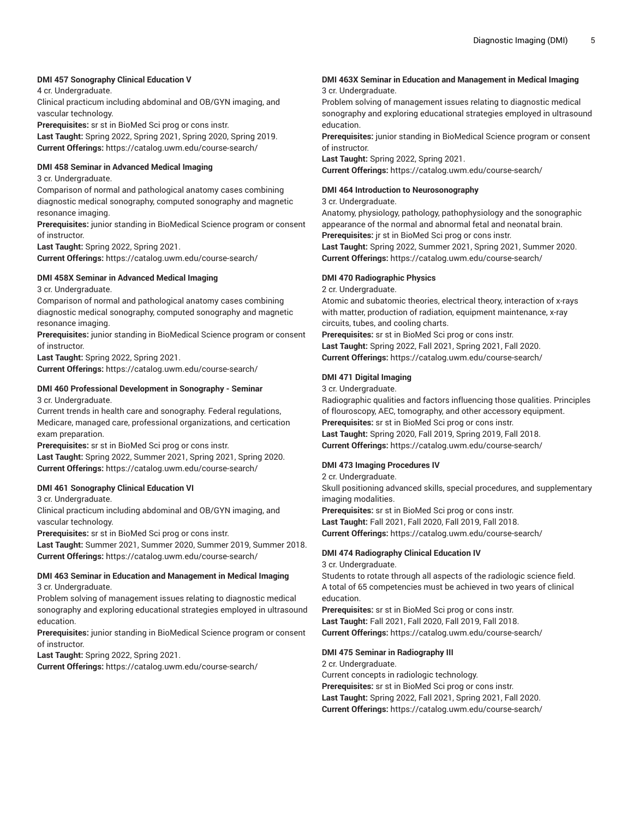# **DMI 457 Sonography Clinical Education V**

4 cr. Undergraduate.

Clinical practicum including abdominal and OB/GYN imaging, and vascular technology.

**Prerequisites:** sr st in BioMed Sci prog or cons instr. **Last Taught:** Spring 2022, Spring 2021, Spring 2020, Spring 2019. **Current Offerings:** <https://catalog.uwm.edu/course-search/>

# **DMI 458 Seminar in Advanced Medical Imaging**

3 cr. Undergraduate.

Comparison of normal and pathological anatomy cases combining diagnostic medical sonography, computed sonography and magnetic resonance imaging.

**Prerequisites:** junior standing in BioMedical Science program or consent of instructor.

**Last Taught:** Spring 2022, Spring 2021.

**Current Offerings:** <https://catalog.uwm.edu/course-search/>

# **DMI 458X Seminar in Advanced Medical Imaging**

3 cr. Undergraduate.

Comparison of normal and pathological anatomy cases combining diagnostic medical sonography, computed sonography and magnetic resonance imaging.

**Prerequisites:** junior standing in BioMedical Science program or consent of instructor.

**Last Taught:** Spring 2022, Spring 2021.

**Current Offerings:** <https://catalog.uwm.edu/course-search/>

# **DMI 460 Professional Development in Sonography - Seminar**

3 cr. Undergraduate.

Current trends in health care and sonography. Federal regulations, Medicare, managed care, professional organizations, and certication exam preparation.

**Prerequisites:** sr st in BioMed Sci prog or cons instr.

**Last Taught:** Spring 2022, Summer 2021, Spring 2021, Spring 2020. **Current Offerings:** <https://catalog.uwm.edu/course-search/>

# **DMI 461 Sonography Clinical Education VI**

3 cr. Undergraduate.

Clinical practicum including abdominal and OB/GYN imaging, and vascular technology.

**Prerequisites:** sr st in BioMed Sci prog or cons instr.

**Last Taught:** Summer 2021, Summer 2020, Summer 2019, Summer 2018. **Current Offerings:** <https://catalog.uwm.edu/course-search/>

#### **DMI 463 Seminar in Education and Management in Medical Imaging** 3 cr. Undergraduate.

Problem solving of management issues relating to diagnostic medical sonography and exploring educational strategies employed in ultrasound education.

**Prerequisites:** junior standing in BioMedical Science program or consent of instructor.

**Last Taught:** Spring 2022, Spring 2021.

**Current Offerings:** <https://catalog.uwm.edu/course-search/>

#### **DMI 463X Seminar in Education and Management in Medical Imaging** 3 cr. Undergraduate.

Problem solving of management issues relating to diagnostic medical sonography and exploring educational strategies employed in ultrasound education.

**Prerequisites:** junior standing in BioMedical Science program or consent of instructor.

**Last Taught:** Spring 2022, Spring 2021.

**Current Offerings:** <https://catalog.uwm.edu/course-search/>

# **DMI 464 Introduction to Neurosonography**

#### 3 cr. Undergraduate.

Anatomy, physiology, pathology, pathophysiology and the sonographic appearance of the normal and abnormal fetal and neonatal brain. **Prerequisites:** jr st in BioMed Sci prog or cons instr. **Last Taught:** Spring 2022, Summer 2021, Spring 2021, Summer 2020.

**Current Offerings:** <https://catalog.uwm.edu/course-search/>

# **DMI 470 Radiographic Physics**

2 cr. Undergraduate.

Atomic and subatomic theories, electrical theory, interaction of x-rays with matter, production of radiation, equipment maintenance, x-ray circuits, tubes, and cooling charts.

**Prerequisites:** sr st in BioMed Sci prog or cons instr. **Last Taught:** Spring 2022, Fall 2021, Spring 2021, Fall 2020. **Current Offerings:** <https://catalog.uwm.edu/course-search/>

# **DMI 471 Digital Imaging**

3 cr. Undergraduate.

Radiographic qualities and factors influencing those qualities. Principles of flouroscopy, AEC, tomography, and other accessory equipment. **Prerequisites:** sr st in BioMed Sci prog or cons instr. **Last Taught:** Spring 2020, Fall 2019, Spring 2019, Fall 2018. **Current Offerings:** <https://catalog.uwm.edu/course-search/>

# **DMI 473 Imaging Procedures IV**

2 cr. Undergraduate.

Skull positioning advanced skills, special procedures, and supplementary imaging modalities.

**Prerequisites:** sr st in BioMed Sci prog or cons instr. **Last Taught:** Fall 2021, Fall 2020, Fall 2019, Fall 2018. **Current Offerings:** <https://catalog.uwm.edu/course-search/>

# **DMI 474 Radiography Clinical Education IV**

3 cr. Undergraduate.

Students to rotate through all aspects of the radiologic science field. A total of 65 competencies must be achieved in two years of clinical education.

**Prerequisites:** sr st in BioMed Sci prog or cons instr. **Last Taught:** Fall 2021, Fall 2020, Fall 2019, Fall 2018. **Current Offerings:** <https://catalog.uwm.edu/course-search/>

#### **DMI 475 Seminar in Radiography III**

2 cr. Undergraduate. Current concepts in radiologic technology. **Prerequisites:** sr st in BioMed Sci prog or cons instr. **Last Taught:** Spring 2022, Fall 2021, Spring 2021, Fall 2020. **Current Offerings:** <https://catalog.uwm.edu/course-search/>